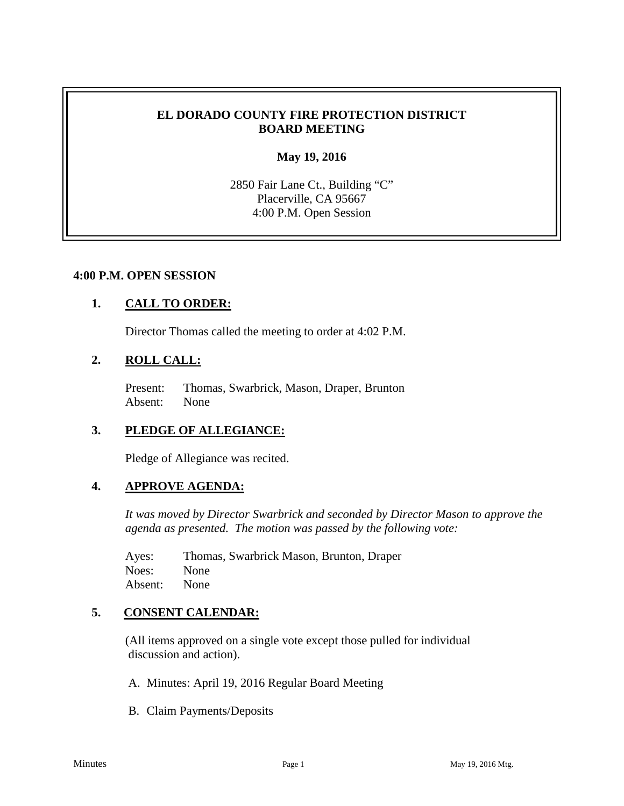## **EL DORADO COUNTY FIRE PROTECTION DISTRICT BOARD MEETING**

## **May 19, 2016**

2850 Fair Lane Ct., Building "C" Placerville, CA 95667 4:00 P.M. Open Session

#### **4:00 P.M. OPEN SESSION**

#### **1. CALL TO ORDER:**

Director Thomas called the meeting to order at 4:02 P.M.

# **2. ROLL CALL:**

Present: Thomas, Swarbrick, Mason, Draper, Brunton Absent: None

#### **3. PLEDGE OF ALLEGIANCE:**

Pledge of Allegiance was recited.

#### **4. APPROVE AGENDA:**

*It was moved by Director Swarbrick and seconded by Director Mason to approve the agenda as presented. The motion was passed by the following vote:*

Ayes: Thomas, Swarbrick Mason, Brunton, Draper Noes: None Absent: None

#### **5. CONSENT CALENDAR:**

 (All items approved on a single vote except those pulled for individual discussion and action).

- A. Minutes: April 19, 2016 Regular Board Meeting
- B. Claim Payments/Deposits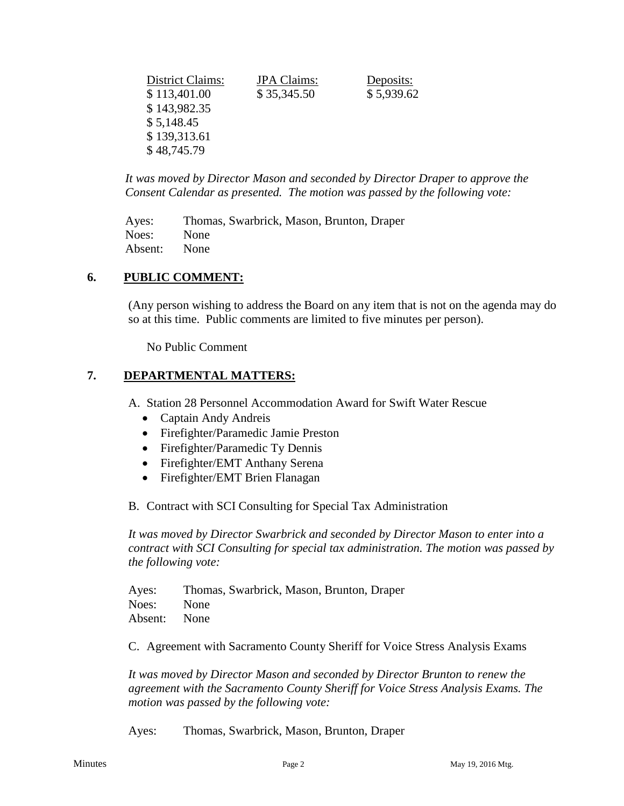| District Claims: | <b>JPA</b> Claims: | Deposits:  |
|------------------|--------------------|------------|
| \$113,401.00     | \$35,345.50        | \$5,939.62 |
| \$143,982.35     |                    |            |
| \$5,148.45       |                    |            |
| \$139,313.61     |                    |            |
| \$48,745.79      |                    |            |

*It was moved by Director Mason and seconded by Director Draper to approve the Consent Calendar as presented. The motion was passed by the following vote:*

Ayes: Thomas, Swarbrick, Mason, Brunton, Draper Noes: None Absent: None

## **6. PUBLIC COMMENT:**

(Any person wishing to address the Board on any item that is not on the agenda may do so at this time. Public comments are limited to five minutes per person).

No Public Comment

## **7. DEPARTMENTAL MATTERS:**

A. Station 28 Personnel Accommodation Award for Swift Water Rescue

- Captain Andy Andreis
- Firefighter/Paramedic Jamie Preston
- Firefighter/Paramedic Ty Dennis
- Firefighter/EMT Anthany Serena
- Firefighter/EMT Brien Flanagan

B. Contract with SCI Consulting for Special Tax Administration

*It was moved by Director Swarbrick and seconded by Director Mason to enter into a contract with SCI Consulting for special tax administration. The motion was passed by the following vote:*

Ayes: Thomas, Swarbrick, Mason, Brunton, Draper Noes: None Absent: None

C. Agreement with Sacramento County Sheriff for Voice Stress Analysis Exams

*It was moved by Director Mason and seconded by Director Brunton to renew the agreement with the Sacramento County Sheriff for Voice Stress Analysis Exams. The motion was passed by the following vote:*

Ayes: Thomas, Swarbrick, Mason, Brunton, Draper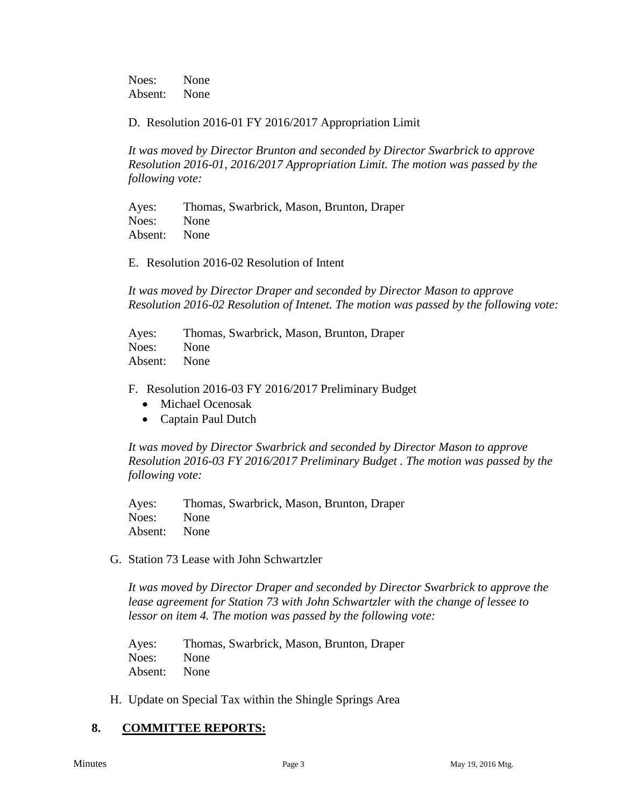Noes: None Absent: None

D. Resolution 2016-01 FY 2016/2017 Appropriation Limit

*It was moved by Director Brunton and seconded by Director Swarbrick to approve Resolution 2016-01, 2016/2017 Appropriation Limit. The motion was passed by the following vote:*

Ayes: Thomas, Swarbrick, Mason, Brunton, Draper Noes: None Absent: None

E. Resolution 2016-02 Resolution of Intent

*It was moved by Director Draper and seconded by Director Mason to approve Resolution 2016-02 Resolution of Intenet. The motion was passed by the following vote:*

Ayes: Thomas, Swarbrick, Mason, Brunton, Draper Noes: None Absent: None

F. Resolution 2016-03 FY 2016/2017 Preliminary Budget

- Michael Ocenosak
- Captain Paul Dutch

*It was moved by Director Swarbrick and seconded by Director Mason to approve Resolution 2016-03 FY 2016/2017 Preliminary Budget . The motion was passed by the following vote:*

Ayes: Thomas, Swarbrick, Mason, Brunton, Draper Noes: None Absent: None

G. Station 73 Lease with John Schwartzler

*It was moved by Director Draper and seconded by Director Swarbrick to approve the lease agreement for Station 73 with John Schwartzler with the change of lessee to lessor on item 4. The motion was passed by the following vote:*

Ayes: Thomas, Swarbrick, Mason, Brunton, Draper Noes: None Absent: None

H. Update on Special Tax within the Shingle Springs Area

# **8. COMMITTEE REPORTS:**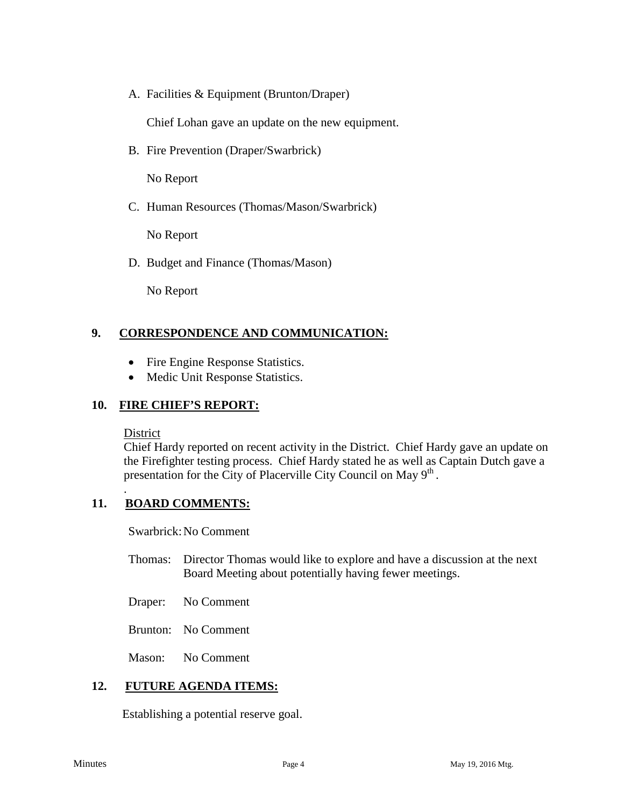A. Facilities & Equipment (Brunton/Draper)

Chief Lohan gave an update on the new equipment.

B. Fire Prevention (Draper/Swarbrick)

No Report

C. Human Resources (Thomas/Mason/Swarbrick)

No Report

D. Budget and Finance (Thomas/Mason)

No Report

## **9. CORRESPONDENCE AND COMMUNICATION:**

- Fire Engine Response Statistics.
- Medic Unit Response Statistics.

#### **10. FIRE CHIEF'S REPORT:**

District

.

Chief Hardy reported on recent activity in the District. Chief Hardy gave an update on the Firefighter testing process. Chief Hardy stated he as well as Captain Dutch gave a presentation for the City of Placerville City Council on May  $9<sup>th</sup>$ .

## **11. BOARD COMMENTS:**

Swarbrick:No Comment

- Thomas: Director Thomas would like to explore and have a discussion at the next Board Meeting about potentially having fewer meetings.
- Draper: No Comment

Brunton: No Comment

Mason: No Comment

## **12. FUTURE AGENDA ITEMS:**

Establishing a potential reserve goal.